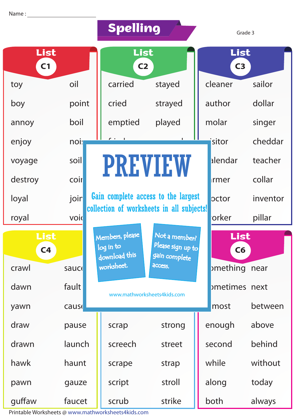|                        |              | Spelling                                      |                                                     |                           | Grade 3  |
|------------------------|--------------|-----------------------------------------------|-----------------------------------------------------|---------------------------|----------|
| List<br>C <sub>1</sub> |              | List<br>C <sub>2</sub>                        |                                                     | List<br>C <sub>3</sub>    |          |
| toy                    | oil          | carried                                       | stayed                                              | cleaner                   | sailor   |
| boy                    | point        | cried                                         | strayed                                             | author                    | dollar   |
| annoy                  | boil         | emptied                                       | played                                              | molar                     | singer   |
| enjoy                  | noi:         |                                               |                                                     | isitor                    | cheddar  |
| voyage                 | soil         | <b>PREVIEW</b>                                |                                                     | alendar                   | teacher  |
| destroy                | coir         |                                               |                                                     | rmer                      | collar   |
| loyal                  | joir         |                                               | Gain complete access to the largest                 | pctor                     | inventor |
| royal                  | void         |                                               | collection of worksheets in all subjects!           | orker                     | pillar   |
| List<br>C <sub>4</sub> |              | Members, please<br>log in to<br>download this | Not a member?<br>Please sign up to<br>gain complete | List<br>C6                |          |
| crawl                  | sauce        | worksheet.                                    | access.                                             | <sub>p</sub> mething near |          |
| dawn                   | fault        |                                               | www.mathworksheets4kids.com                         | ometimes next             |          |
| yawn                   | <b>cause</b> |                                               |                                                     | most                      | between  |
| draw                   | pause        | scrap                                         | strong                                              | enough                    | above    |
| drawn                  | launch       | screech                                       | street                                              | second                    | behind   |
| hawk                   | haunt        | scrape                                        | strap                                               | while                     | without  |
| pawn                   | gauze        | script                                        | stroll                                              | along                     | today    |
| guffaw                 | faucet       | scrub                                         | strike                                              | both                      | always   |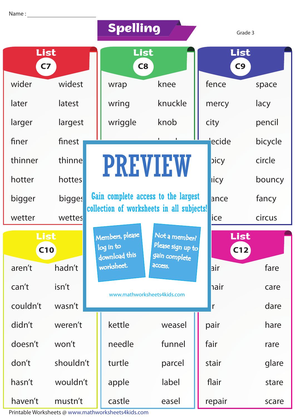|                        |             | <b>Spelling</b>  |                                                                                                      |                                           | Grade 3 |                        |             |  |
|------------------------|-------------|------------------|------------------------------------------------------------------------------------------------------|-------------------------------------------|---------|------------------------|-------------|--|
| List<br>C <sub>7</sub> |             |                  | List<br>C8                                                                                           |                                           |         | List<br>C <sub>9</sub> |             |  |
| wider                  | widest      |                  | wrap                                                                                                 | knee                                      |         | fence                  | space       |  |
| later                  | latest      |                  | wring                                                                                                | knuckle                                   |         | mercy                  | lacy        |  |
| larger                 | largest     |                  | wriggle                                                                                              | knob                                      |         | city                   | pencil      |  |
| finer                  | finest      |                  |                                                                                                      |                                           |         | ecide                  | bicycle     |  |
| thinner                | thinne      |                  | <b>PREVIEW</b>                                                                                       |                                           |         | picy                   | circle      |  |
| hotter                 | hottes      |                  |                                                                                                      |                                           |         | licy                   | bouncy      |  |
| bigger                 | bigges      |                  |                                                                                                      | Gain complete access to the largest       |         | ance                   | fancy       |  |
| wetter                 | wettes      |                  |                                                                                                      | collection of worksheets in all subjects! |         | ice                    | circus      |  |
|                        | List<br>C10 |                  | Not a member?<br>Members, please<br>Please sign up to<br>log in to<br>download this<br>gain complete |                                           |         |                        | List<br>C12 |  |
| aren't                 | hadn't      |                  | worksheet.                                                                                           | access.                                   |         | air                    | fare        |  |
| can't                  | isn't       |                  |                                                                                                      | www.mathworksheets4kids.com               |         | hair                   | care        |  |
| couldn't               | wasn't      |                  |                                                                                                      |                                           |         | r                      | dare        |  |
| didn't                 | weren't     |                  | kettle                                                                                               | weasel                                    |         | pair                   | hare        |  |
| doesn't                | won't       |                  | needle                                                                                               | funnel                                    |         | fair                   | rare        |  |
| don't                  | shouldn't   | turtle<br>parcel |                                                                                                      |                                           | stair   | glare                  |             |  |
| hasn't                 | wouldn't    |                  | apple                                                                                                | label                                     |         | flair                  | stare       |  |
| haven't                | mustn't     |                  | castle                                                                                               | easel                                     |         | repair                 | scare       |  |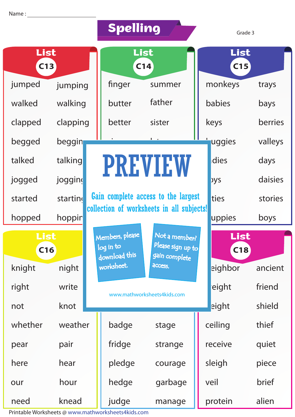|             |          | <b>Spelling</b> |                                               |                                                     | Grade 3     |             |         |
|-------------|----------|-----------------|-----------------------------------------------|-----------------------------------------------------|-------------|-------------|---------|
| List<br>C13 |          | List<br>C14     |                                               |                                                     | List<br>C15 |             |         |
| jumped      | jumping  |                 | finger                                        | summer                                              |             | monkeys     | trays   |
| walked      | walking  |                 | butter                                        | father                                              |             | babies      | bays    |
| clapped     | clapping |                 | better                                        | sister                                              |             | keys        | berries |
| begged      | beggin   |                 |                                               |                                                     |             | uggies      | valleys |
| talked      | talking  |                 | <b>PREVIEW</b>                                |                                                     |             | dies        | days    |
| jogged      | jogging  |                 |                                               |                                                     |             | <b>Dys</b>  | daisies |
| started     | startin  |                 |                                               | Gain complete access to the largest                 |             | ties        | stories |
| hopped      | hoppin   |                 |                                               | collection of worksheets in all subjects!           |             | uppies      | boys    |
| List<br>C16 |          |                 | Members, please<br>log in to<br>download this | Not a member?<br>Please sign up to<br>gain complete |             | List<br>C18 |         |
| knight      | night    |                 | worksheet.                                    | <b>ACCESS.</b>                                      |             | eighbor     | ancient |
| right       | write    |                 |                                               | www.mathworksheets4kids.com                         |             | eight       | friend  |
| not         | knot     |                 |                                               |                                                     |             | eight       | shield  |
| whether     | weather  |                 | badge                                         | stage                                               |             | ceiling     | thief   |
| pear        | pair     |                 | fridge                                        | strange                                             |             | receive     | quiet   |
| here        | hear     |                 | pledge                                        | courage                                             |             | sleigh      | piece   |
| our         | hour     |                 | hedge                                         | garbage                                             |             | veil        | brief   |
| need        | knead    |                 | judge                                         | manage                                              |             | protein     | alien   |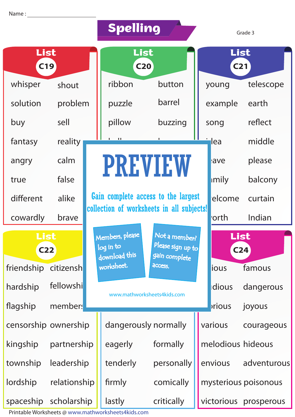|                         |              | Spelling |                                                                                                      |                                           | Grade 3 |                         |                       |  |
|-------------------------|--------------|----------|------------------------------------------------------------------------------------------------------|-------------------------------------------|---------|-------------------------|-----------------------|--|
| List<br><b>C19</b>      |              |          | List<br>C <sub>20</sub>                                                                              |                                           |         | List<br>C <sub>21</sub> |                       |  |
| whisper                 | shout        |          | ribbon                                                                                               | button                                    |         | young                   | telescope             |  |
| solution                | problem      |          | puzzle                                                                                               | barrel                                    |         | example                 | earth                 |  |
| buy                     | sell         |          | pillow                                                                                               | buzzing                                   |         | song                    | reflect               |  |
| fantasy                 | reality      |          | $\mathbf{H}$                                                                                         |                                           |         | lea                     | middle                |  |
| angry                   | calm         |          | <b>PREVIEW</b>                                                                                       |                                           |         | ave                     | please                |  |
| true                    | false        |          |                                                                                                      |                                           |         | imily                   | balcony               |  |
| different               | alike        |          |                                                                                                      | Gain complete access to the largest       |         | elcome                  | curtain               |  |
| cowardly                | brave        |          |                                                                                                      | collection of worksheets in all subjects! |         | 'orth                   | Indian                |  |
| List<br>C <sub>22</sub> |              |          | Not a member?<br>Members, please<br>Please sign up to<br>log in to<br>download this<br>gain complete |                                           |         | List<br>C <sub>24</sub> |                       |  |
| friendship              | citizensh    |          | worksheet.                                                                                           | <b>ACCESS.</b>                            |         | ious                    | famous                |  |
| hardship                | fellowshi    |          |                                                                                                      | www.mathworksheets4kids.com               |         | dious                   | dangerous             |  |
| flagship                | members      |          |                                                                                                      |                                           |         | prious                  | joyous                |  |
| censorship ownership    |              |          | dangerously normally                                                                                 |                                           |         | various                 | courageous            |  |
| kingship                | partnership  |          | eagerly<br>formally                                                                                  |                                           |         | melodious hideous       |                       |  |
| township                | leadership   |          | tenderly                                                                                             | personally                                |         | envious                 | adventurous           |  |
| lordship                | relationship |          | firmly                                                                                               | comically                                 |         |                         | mysterious poisonous  |  |
| spaceship scholarship   |              |          | lastly                                                                                               | critically                                |         |                         | victorious prosperous |  |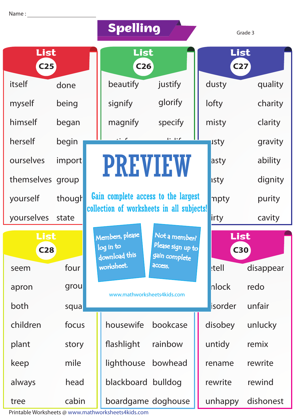|                         |        |  | <b>Spelling</b>                               |                                                     | Grade 3                 |           |  |
|-------------------------|--------|--|-----------------------------------------------|-----------------------------------------------------|-------------------------|-----------|--|
| List<br>C <sub>25</sub> |        |  | List<br>C <sub>26</sub>                       |                                                     | List<br>C <sub>27</sub> |           |  |
| itself                  | done   |  | beautify                                      | justify                                             | dusty                   | quality   |  |
| myself                  | being  |  | signify                                       | glorify                                             | lofty                   | charity   |  |
| himself                 | began  |  | magnify                                       | specify                                             | misty                   | clarity   |  |
| herself                 | begin  |  |                                               | 11.12                                               | usty                    | gravity   |  |
| ourselves               | import |  | <b>PREVIEW</b>                                |                                                     | asty                    | ability   |  |
| themselves group        |        |  |                                               |                                                     | <b>Isty</b>             | dignity   |  |
| yourself                | though |  | Gain complete access to the largest           |                                                     | npty                    | purity    |  |
| yourselves              | state  |  | collection of worksheets in all subjects!     |                                                     | irty                    | cavity    |  |
| List<br>C <sub>28</sub> |        |  | Members, please<br>log in to<br>download this | Not a member?<br>Please sign up to<br>gain complete | List<br><b>C30</b>      |           |  |
| seem                    | four   |  | worksheet.                                    | access.                                             | <b>I</b> tell           | disappear |  |
| apron                   | grou   |  | www.mathworksheets4kids.com                   |                                                     | nlock                   | redo      |  |
| both                    | squa   |  |                                               |                                                     | isorder                 | unfair    |  |
| children                | focus  |  | housewife                                     | bookcase                                            | disobey                 | unlucky   |  |
| plant                   | story  |  | flashlight                                    | rainbow                                             | untidy                  | remix     |  |
| keep                    | mile   |  | lighthouse                                    | bowhead                                             | rename                  | rewrite   |  |
| always                  | head   |  | blackboard bulldog                            |                                                     | rewrite                 | rewind    |  |
| tree                    | cabin  |  |                                               | boardgame doghouse                                  | unhappy                 | dishonest |  |